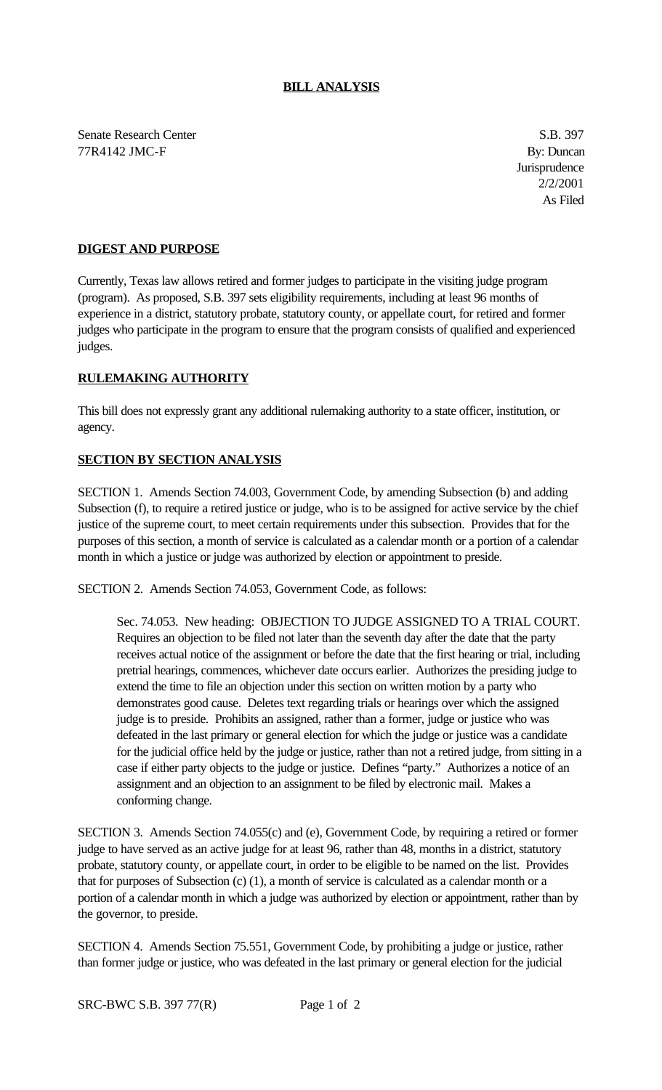Senate Research Center S.B. 397 77R4142 JMC-F By: Duncan

**Jurisprudence** 2/2/2001 As Filed

## **DIGEST AND PURPOSE**

Currently, Texas law allows retired and former judges to participate in the visiting judge program (program). As proposed, S.B. 397 sets eligibility requirements, including at least 96 months of experience in a district, statutory probate, statutory county, or appellate court, for retired and former judges who participate in the program to ensure that the program consists of qualified and experienced judges.

## **RULEMAKING AUTHORITY**

This bill does not expressly grant any additional rulemaking authority to a state officer, institution, or agency.

## **SECTION BY SECTION ANALYSIS**

SECTION 1. Amends Section 74.003, Government Code, by amending Subsection (b) and adding Subsection (f), to require a retired justice or judge, who is to be assigned for active service by the chief justice of the supreme court, to meet certain requirements under this subsection. Provides that for the purposes of this section, a month of service is calculated as a calendar month or a portion of a calendar month in which a justice or judge was authorized by election or appointment to preside.

SECTION 2. Amends Section 74.053, Government Code, as follows:

Sec. 74.053. New heading: OBJECTION TO JUDGE ASSIGNED TO A TRIAL COURT. Requires an objection to be filed not later than the seventh day after the date that the party receives actual notice of the assignment or before the date that the first hearing or trial, including pretrial hearings, commences, whichever date occurs earlier. Authorizes the presiding judge to extend the time to file an objection under this section on written motion by a party who demonstrates good cause. Deletes text regarding trials or hearings over which the assigned judge is to preside. Prohibits an assigned, rather than a former, judge or justice who was defeated in the last primary or general election for which the judge or justice was a candidate for the judicial office held by the judge or justice, rather than not a retired judge, from sitting in a case if either party objects to the judge or justice. Defines "party." Authorizes a notice of an assignment and an objection to an assignment to be filed by electronic mail. Makes a conforming change.

SECTION 3. Amends Section 74.055(c) and (e), Government Code, by requiring a retired or former judge to have served as an active judge for at least 96, rather than 48, months in a district, statutory probate, statutory county, or appellate court, in order to be eligible to be named on the list. Provides that for purposes of Subsection (c) (1), a month of service is calculated as a calendar month or a portion of a calendar month in which a judge was authorized by election or appointment, rather than by the governor, to preside.

SECTION 4. Amends Section 75.551, Government Code, by prohibiting a judge or justice, rather than former judge or justice, who was defeated in the last primary or general election for the judicial